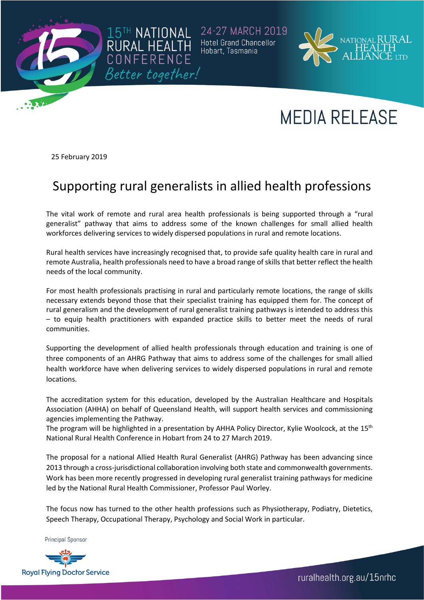

24-27 MARCH 2019 **Hotel Grand Chancellor** Hobart, Tasmania



## **MEDIA RELEASE**

25 February 2019

## Supporting rural generalists in allied health professions

15TH NATIONAL

RURAL HEALT

The vital work of remote and rural area health professionals is being supported through a "rural generalist" pathway that aims to address some of the known challenges for small allied health workforces delivering services to widely dispersed populations in rural and remote locations.

Rural health services have increasingly recognised that, to provide safe quality health care in rural and remote Australia, health professionals need to have a broad range of skills that better reflect the health needs of the local community.

For most health professionals practising in rural and particularly remote locations, the range of skills necessary extends beyond those that their specialist training has equipped them for. The concept of rural generalism and the development of rural generalist training pathways is intended to address this – to equip health practitioners with expanded practice skills to better meet the needs of rural communities.

Supporting the development of allied health professionals through education and training is one of three components of an AHRG Pathway that aims to address some of the challenges for small allied health workforce have when delivering services to widely dispersed populations in rural and remote locations.

The accreditation system for this education, developed by the Australian Healthcare and Hospitals Association (AHHA) on behalf of Queensland Health, will support health services and commissioning agencies implementing the Pathway.

The program will be highlighted in a presentation by AHHA Policy Director, Kylie Woolcock, at the 15<sup>th</sup> National Rural Health Conference in Hobart from 24 to 27 March 2019.

The proposal for a national Allied Health Rural Generalist (AHRG) Pathway has been advancing since 2013 through a cross-jurisdictional collaboration involving both state and commonwealth governments. Work has been more recently progressed in developing rural generalist training pathways for medicine led by the National Rural Health Commissioner, Professor Paul Worley.

The focus now has turned to the other health professions such as Physiotherapy, Podiatry, Dietetics, Speech Therapy, Occupational Therapy, Psychology and Social Work in particular.

**Principal Sponsor** 



ruralhealth.org.au/15nrhc